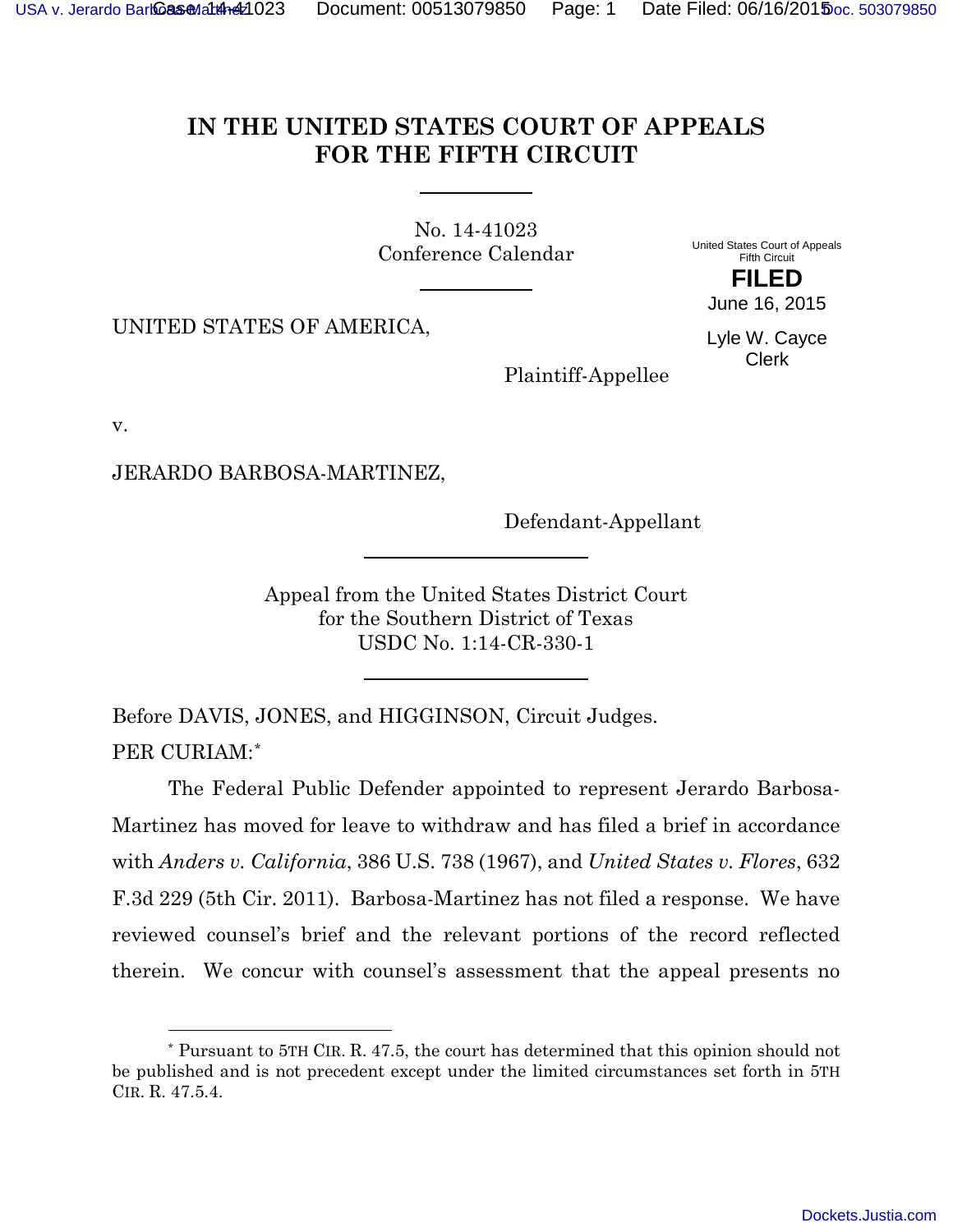## **IN THE UNITED STATES COURT OF APPEALS FOR THE FIFTH CIRCUIT**

<span id="page-0-1"></span>No. 14-41023 Conference Calendar

United States Court of Appeals Fifth Circuit **FILED**

UNITED STATES OF AMERICA,

June 16, 2015 Lyle W. Cayce

Clerk

Plaintiff-Appellee

v.

l

JERARDO BARBOSA-MARTINEZ,

Defendant-Appellant

Appeal from the United States District Court for the Southern District of Texas USDC No. 1:14-CR-330-1

Before DAVIS, JONES, and HIGGINSON, Circuit Judges. PER CURIAM:[\\*](#page-0-0)

The Federal Public Defender appointed to represent Jerardo Barbosa-Martinez has moved for leave to withdraw and has filed a brief in accordance with *Anders v. California*, 386 U.S. 738 (1967), and *United States v. Flores*, 632 F.3d 229 (5th Cir. 2011). Barbosa-Martinez has not filed a response. We have reviewed counsel's brief and the relevant portions of the record reflected therein. We concur with counsel's assessment that the appeal presents no

<span id="page-0-0"></span><sup>\*</sup> Pursuant to 5TH CIR. R. 47.5, the court has determined that this opinion should not be published and is not precedent except under the limited circumstances set forth in 5TH CIR. R. 47.5.4.